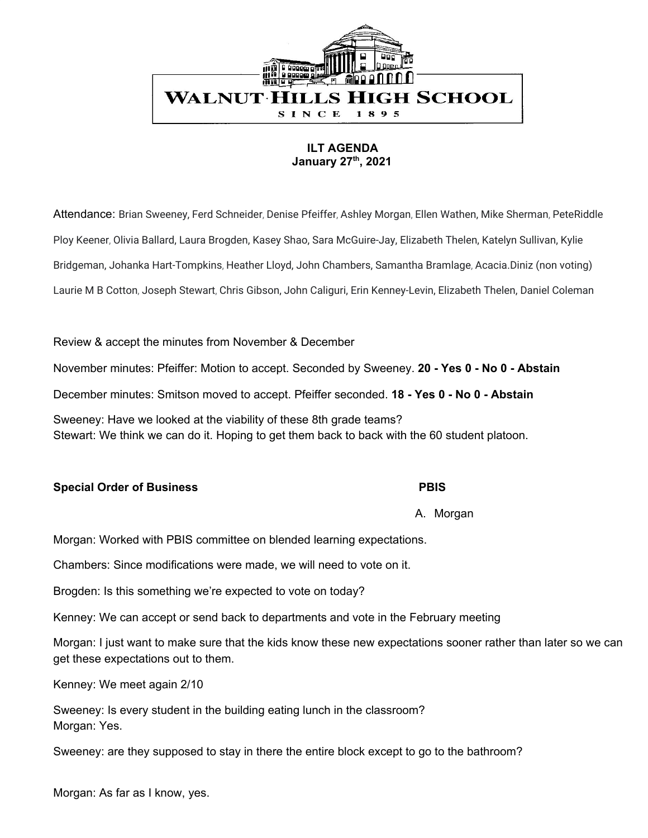

# **ILT AGENDA January 27 th , 2021**

Attendance: Brian Sweeney, Ferd Schneider, Denise Pfeiffer, Ashley Morgan, Ellen Wathen, Mike Sherman, PeteRiddle Ploy Keener, Olivia Ballard, Laura Brogden, Kasey Shao, Sara McGuire-Jay, Elizabeth Thelen, Katelyn Sullivan, Kylie Bridgeman, Johanka Hart-Tompkins, Heather Lloyd, John Chambers, Samantha Bramlage, Acacia.Diniz (non voting) Laurie M B Cotton, Joseph Stewart, Chris Gibson, John Caliguri, Erin Kenney-Levin, Elizabeth Thelen, Daniel Coleman

# Review & accept the minutes from November & December

November minutes: Pfeiffer: Motion to accept. Seconded by Sweeney. **20 - Yes 0 - No 0 - Abstain**

December minutes: Smitson moved to accept. Pfeiffer seconded. **18 - Yes 0 - No 0 - Abstain**

Sweeney: Have we looked at the viability of these 8th grade teams? Stewart: We think we can do it. Hoping to get them back to back with the 60 student platoon.

# **Special Order of Business PBIS**

A. Morgan

Morgan: Worked with PBIS committee on blended learning expectations.

Chambers: Since modifications were made, we will need to vote on it.

Brogden: Is this something we're expected to vote on today?

Kenney: We can accept or send back to departments and vote in the February meeting

Morgan: I just want to make sure that the kids know these new expectations sooner rather than later so we can get these expectations out to them.

Kenney: We meet again 2/10

Sweeney: Is every student in the building eating lunch in the classroom? Morgan: Yes.

Sweeney: are they supposed to stay in there the entire block except to go to the bathroom?

Morgan: As far as I know, yes.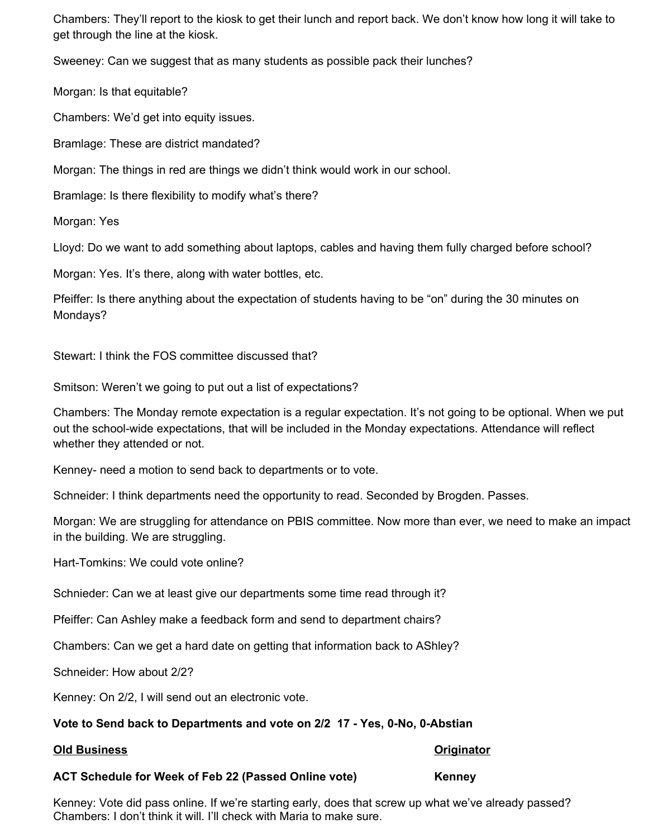Chambers: They'll report to the kiosk to get their lunch and report back. We don't know how long it will take to get through the line at the kiosk.

Sweeney: Can we suggest that as many students as possible pack their lunches?

Morgan: Is that equitable?

Chambers: We'd get into equity issues.

Bramlage: These are district mandated?

Morgan: The things in red are things we didn't think would work in our school.

Bramlage: Is there flexibility to modify what's there?

Morgan: Yes

Lloyd: Do we want to add something about laptops, cables and having them fully charged before school?

Morgan: Yes. It's there, along with water bottles, etc.

Pfeiffer: Is there anything about the expectation of students having to be "on" during the 30 minutes on Mondays?

Stewart: I think the FOS committee discussed that?

Smitson: Weren't we going to put out a list of expectations?

Chambers: The Monday remote expectation is a regular expectation. It's not going to be optional. When we put out the school-wide expectations, that will be included in the Monday expectations. Attendance will reflect whether they attended or not.

Kenney- need a motion to send back to departments or to vote.

Schneider: I think departments need the opportunity to read. Seconded by Brogden. Passes.

Morgan: We are struggling for attendance on PBIS committee. Now more than ever, we need to make an impact in the building. We are struggling.

Hart-Tomkins: We could vote online?

Schnieder: Can we at least give our departments some time read through it?

Pfeiffer: Can Ashley make a feedback form and send to department chairs?

Chambers: Can we get a hard date on getting that information back to AShley?

Schneider: How about 2/2?

Kenney: On 2/2, I will send out an electronic vote.

# **Vote to Send back to Departments and vote on 2/2 17 - Yes, 0-No, 0-Abstian**

# **Old Business Originator**

# **ACT Schedule for Week of Feb 22 (Passed Online vote) Kenney**

Kenney: Vote did pass online. If we're starting early, does that screw up what we've already passed? Chambers: I don't think it will. I'll check with Maria to make sure.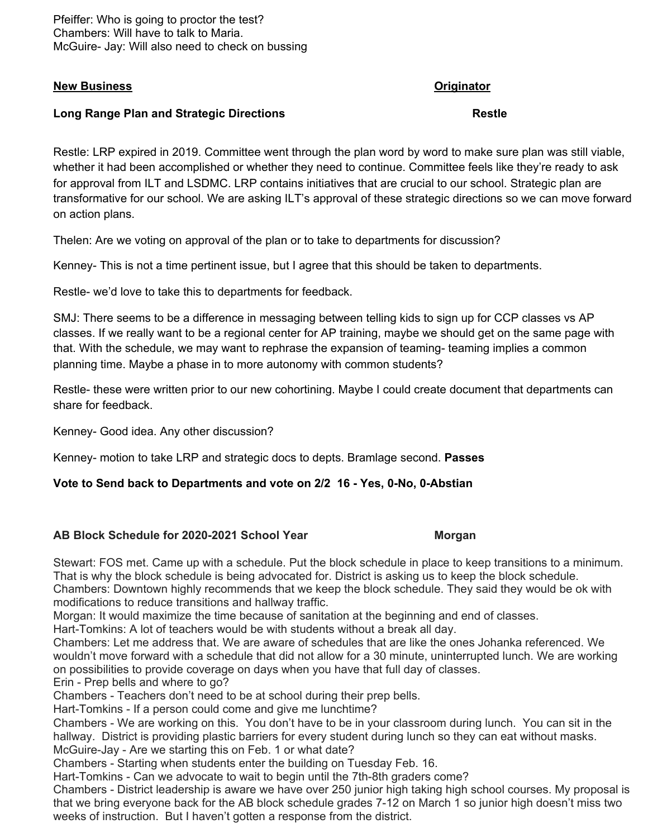Pfeiffer: Who is going to proctor the test? Chambers: Will have to talk to Maria. McGuire- Jay: Will also need to check on bussing

### **New Business Originator**

### **Long Range Plan and Strategic Directions Restle**

Restle: LRP expired in 2019. Committee went through the plan word by word to make sure plan was still viable, whether it had been accomplished or whether they need to continue. Committee feels like they're ready to ask for approval from ILT and LSDMC. LRP contains initiatives that are crucial to our school. Strategic plan are transformative for our school. We are asking ILT's approval of these strategic directions so we can move forward on action plans.

Thelen: Are we voting on approval of the plan or to take to departments for discussion?

Kenney- This is not a time pertinent issue, but I agree that this should be taken to departments.

Restle- we'd love to take this to departments for feedback.

SMJ: There seems to be a difference in messaging between telling kids to sign up for CCP classes vs AP classes. If we really want to be a regional center for AP training, maybe we should get on the same page with that. With the schedule, we may want to rephrase the expansion of teaming- teaming implies a common planning time. Maybe a phase in to more autonomy with common students?

Restle- these were written prior to our new cohortining. Maybe I could create document that departments can share for feedback.

Kenney- Good idea. Any other discussion?

Kenney- motion to take LRP and strategic docs to depts. Bramlage second. **Passes**

# **Vote to Send back to Departments and vote on 2/2 16 - Yes, 0-No, 0-Abstian**

### **AB Block Schedule for 2020-2021 School Year Morgan**

Stewart: FOS met. Came up with a schedule. Put the block schedule in place to keep transitions to a minimum. That is why the block schedule is being advocated for. District is asking us to keep the block schedule. Chambers: Downtown highly recommends that we keep the block schedule. They said they would be ok with modifications to reduce transitions and hallway traffic.

Morgan: It would maximize the time because of sanitation at the beginning and end of classes.

Hart-Tomkins: A lot of teachers would be with students without a break all day.

Chambers: Let me address that. We are aware of schedules that are like the ones Johanka referenced. We wouldn't move forward with a schedule that did not allow for a 30 minute, uninterrupted lunch. We are working on possibilities to provide coverage on days when you have that full day of classes.

Erin - Prep bells and where to go?

Chambers - Teachers don't need to be at school during their prep bells.

Hart-Tomkins - If a person could come and give me lunchtime?

Chambers - We are working on this. You don't have to be in your classroom during lunch. You can sit in the hallway. District is providing plastic barriers for every student during lunch so they can eat without masks. McGuire-Jay - Are we starting this on Feb. 1 or what date?

Chambers - Starting when students enter the building on Tuesday Feb. 16.

Hart-Tomkins - Can we advocate to wait to begin until the 7th-8th graders come?

Chambers - District leadership is aware we have over 250 junior high taking high school courses. My proposal is that we bring everyone back for the AB block schedule grades 7-12 on March 1 so junior high doesn't miss two weeks of instruction. But I haven't gotten a response from the district.